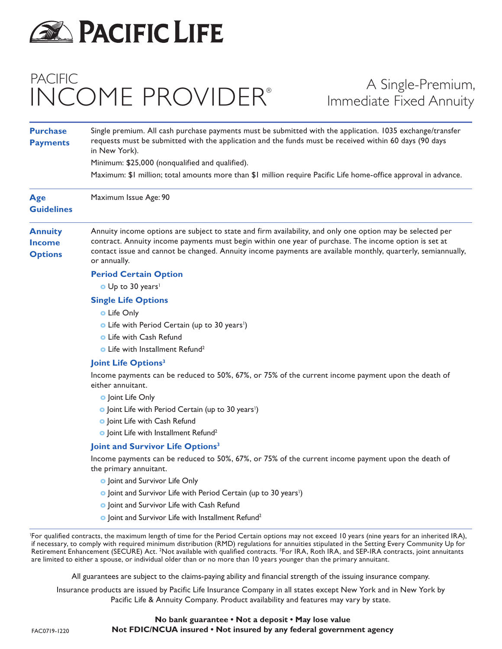

## PACIFIC INCOME PROVIDER®

## A Single-Premium, Immediate Fixed Annuity

| <b>Purchase</b><br><b>Payments</b>                                                                                           | Single premium. All cash purchase payments must be submitted with the application. 1035 exchange/transfer<br>requests must be submitted with the application and the funds must be received within 60 days (90 days<br>in New York).<br>Minimum: \$25,000 (nonqualified and qualified).<br>Maximum: \$1 million; total amounts more than \$1 million require Pacific Life home-office approval in advance. |                                                   |                                                                                                                                                                                                                                                                                                                                                     |
|------------------------------------------------------------------------------------------------------------------------------|------------------------------------------------------------------------------------------------------------------------------------------------------------------------------------------------------------------------------------------------------------------------------------------------------------------------------------------------------------------------------------------------------------|---------------------------------------------------|-----------------------------------------------------------------------------------------------------------------------------------------------------------------------------------------------------------------------------------------------------------------------------------------------------------------------------------------------------|
|                                                                                                                              |                                                                                                                                                                                                                                                                                                                                                                                                            | <b>Age</b><br><b>Guidelines</b>                   | Maximum Issue Age: 90                                                                                                                                                                                                                                                                                                                               |
|                                                                                                                              |                                                                                                                                                                                                                                                                                                                                                                                                            | <b>Annuity</b><br><b>Income</b><br><b>Options</b> | Annuity income options are subject to state and firm availability, and only one option may be selected per<br>contract. Annuity income payments must begin within one year of purchase. The income option is set at<br>contact issue and cannot be changed. Annuity income payments are available monthly, quarterly, semiannually,<br>or annually. |
| <b>Period Certain Option</b>                                                                                                 |                                                                                                                                                                                                                                                                                                                                                                                                            |                                                   |                                                                                                                                                                                                                                                                                                                                                     |
| O Up to 30 years <sup>1</sup>                                                                                                |                                                                                                                                                                                                                                                                                                                                                                                                            |                                                   |                                                                                                                                                                                                                                                                                                                                                     |
| <b>Single Life Options</b>                                                                                                   |                                                                                                                                                                                                                                                                                                                                                                                                            |                                                   |                                                                                                                                                                                                                                                                                                                                                     |
| <b>o</b> Life Only                                                                                                           |                                                                                                                                                                                                                                                                                                                                                                                                            |                                                   |                                                                                                                                                                                                                                                                                                                                                     |
| • Life with Period Certain (up to 30 years <sup>1</sup> )                                                                    |                                                                                                                                                                                                                                                                                                                                                                                                            |                                                   |                                                                                                                                                                                                                                                                                                                                                     |
| <b>o</b> Life with Cash Refund                                                                                               |                                                                                                                                                                                                                                                                                                                                                                                                            |                                                   |                                                                                                                                                                                                                                                                                                                                                     |
| • Life with Installment Refund <sup>2</sup>                                                                                  |                                                                                                                                                                                                                                                                                                                                                                                                            |                                                   |                                                                                                                                                                                                                                                                                                                                                     |
| Joint Life Options <sup>3</sup>                                                                                              |                                                                                                                                                                                                                                                                                                                                                                                                            |                                                   |                                                                                                                                                                                                                                                                                                                                                     |
| Income payments can be reduced to 50%, 67%, or 75% of the current income payment upon the death of<br>either annuitant.      |                                                                                                                                                                                                                                                                                                                                                                                                            |                                                   |                                                                                                                                                                                                                                                                                                                                                     |
| <b>o</b> Joint Life Only                                                                                                     |                                                                                                                                                                                                                                                                                                                                                                                                            |                                                   |                                                                                                                                                                                                                                                                                                                                                     |
| • Joint Life with Period Certain (up to 30 years <sup>1</sup> )                                                              |                                                                                                                                                                                                                                                                                                                                                                                                            |                                                   |                                                                                                                                                                                                                                                                                                                                                     |
| o Joint Life with Cash Refund                                                                                                |                                                                                                                                                                                                                                                                                                                                                                                                            |                                                   |                                                                                                                                                                                                                                                                                                                                                     |
| o Joint Life with Installment Refund <sup>2</sup>                                                                            |                                                                                                                                                                                                                                                                                                                                                                                                            |                                                   |                                                                                                                                                                                                                                                                                                                                                     |
| Joint and Survivor Life Options <sup>3</sup>                                                                                 |                                                                                                                                                                                                                                                                                                                                                                                                            |                                                   |                                                                                                                                                                                                                                                                                                                                                     |
| Income payments can be reduced to 50%, 67%, or 75% of the current income payment upon the death of<br>the primary annuitant. |                                                                                                                                                                                                                                                                                                                                                                                                            |                                                   |                                                                                                                                                                                                                                                                                                                                                     |
| o Joint and Survivor Life Only                                                                                               |                                                                                                                                                                                                                                                                                                                                                                                                            |                                                   |                                                                                                                                                                                                                                                                                                                                                     |
| • Joint and Survivor Life with Period Certain (up to 30 years <sup>1</sup> )                                                 |                                                                                                                                                                                                                                                                                                                                                                                                            |                                                   |                                                                                                                                                                                                                                                                                                                                                     |
| <b>o</b> Joint and Survivor Life with Cash Refund                                                                            |                                                                                                                                                                                                                                                                                                                                                                                                            |                                                   |                                                                                                                                                                                                                                                                                                                                                     |
| o Joint and Survivor Life with Installment Refund <sup>2</sup>                                                               |                                                                                                                                                                                                                                                                                                                                                                                                            |                                                   |                                                                                                                                                                                                                                                                                                                                                     |

1 For qualified contracts, the maximum length of time for the Period Certain options may not exceed 10 years (nine years for an inherited IRA), if necessary, to comply with required minimum distribution (RMD) regulations for annuities stipulated in the Setting Every Community Up for Retirement Enhancement (SECURE) Act. <sup>2</sup>Not available with qualified contracts. <sup>3</sup>For IRA, Roth IRA, and SEP-IRA contracts, joint annuitants are limited to either a spouse, or individual older than or no more than 10 years younger than the primary annuitant.

All guarantees are subject to the claims-paying ability and financial strength of the issuing insurance company.

Insurance products are issued by Pacific Life Insurance Company in all states except New York and in New York by Pacific Life & Annuity Company. Product availability and features may vary by state.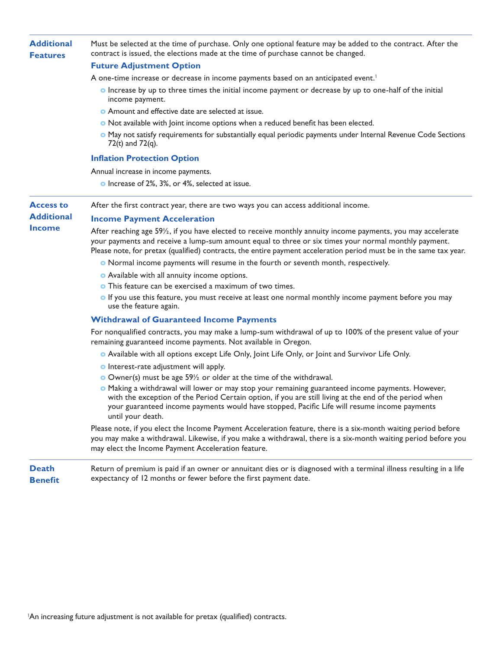| <b>Additional</b><br><b>Features</b>                   | Must be selected at the time of purchase. Only one optional feature may be added to the contract. After the<br>contract is issued, the elections made at the time of purchase cannot be changed.                                                                                                                                                         |
|--------------------------------------------------------|----------------------------------------------------------------------------------------------------------------------------------------------------------------------------------------------------------------------------------------------------------------------------------------------------------------------------------------------------------|
|                                                        | <b>Future Adjustment Option</b>                                                                                                                                                                                                                                                                                                                          |
|                                                        | A one-time increase or decrease in income payments based on an anticipated event. <sup>1</sup>                                                                                                                                                                                                                                                           |
|                                                        | <b>o</b> Increase by up to three times the initial income payment or decrease by up to one-half of the initial<br>income payment.                                                                                                                                                                                                                        |
|                                                        | • Amount and effective date are selected at issue.                                                                                                                                                                                                                                                                                                       |
|                                                        | • Not available with Joint income options when a reduced benefit has been elected.                                                                                                                                                                                                                                                                       |
|                                                        | • May not satisfy requirements for substantially equal periodic payments under Internal Revenue Code Sections<br>72(t) and $72(q)$ .                                                                                                                                                                                                                     |
|                                                        | <b>Inflation Protection Option</b>                                                                                                                                                                                                                                                                                                                       |
|                                                        | Annual increase in income payments.                                                                                                                                                                                                                                                                                                                      |
|                                                        | • Increase of 2%, 3%, or 4%, selected at issue.                                                                                                                                                                                                                                                                                                          |
| <b>Access to</b><br><b>Additional</b><br><b>Income</b> | After the first contract year, there are two ways you can access additional income.                                                                                                                                                                                                                                                                      |
|                                                        | <b>Income Payment Acceleration</b>                                                                                                                                                                                                                                                                                                                       |
|                                                        | After reaching age 59 <sup>1/2</sup> , if you have elected to receive monthly annuity income payments, you may accelerate<br>your payments and receive a lump-sum amount equal to three or six times your normal monthly payment.<br>Please note, for pretax (qualified) contracts, the entire payment acceleration period must be in the same tax year. |
|                                                        | • Normal income payments will resume in the fourth or seventh month, respectively.                                                                                                                                                                                                                                                                       |
|                                                        | • Available with all annuity income options.                                                                                                                                                                                                                                                                                                             |
|                                                        | <b>o</b> This feature can be exercised a maximum of two times.                                                                                                                                                                                                                                                                                           |
|                                                        | <b>o</b> If you use this feature, you must receive at least one normal monthly income payment before you may<br>use the feature again.                                                                                                                                                                                                                   |
|                                                        | <b>Withdrawal of Guaranteed Income Payments</b>                                                                                                                                                                                                                                                                                                          |
|                                                        | For nonqualified contracts, you may make a lump-sum withdrawal of up to 100% of the present value of your<br>remaining guaranteed income payments. Not available in Oregon.                                                                                                                                                                              |
|                                                        | o Available with all options except Life Only, Joint Life Only, or Joint and Survivor Life Only.                                                                                                                                                                                                                                                         |
|                                                        | <b>o</b> Interest-rate adjustment will apply.                                                                                                                                                                                                                                                                                                            |
|                                                        | O Owner(s) must be age 59 <sup>1/2</sup> or older at the time of the withdrawal.                                                                                                                                                                                                                                                                         |
|                                                        | <b>•</b> Making a withdrawal will lower or may stop your remaining guaranteed income payments. However,<br>with the exception of the Period Certain option, if you are still living at the end of the period when<br>your guaranteed income payments would have stopped, Pacific Life will resume income payments<br>until your death.                   |
|                                                        | Please note, if you elect the Income Payment Acceleration feature, there is a six-month waiting period before<br>you may make a withdrawal. Likewise, if you make a withdrawal, there is a six-month waiting period before you<br>may elect the Income Payment Acceleration feature.                                                                     |
| <b>Death</b>                                           | Return of premium is paid if an owner or annuitant dies or is diagnosed with a terminal illness resulting in a life                                                                                                                                                                                                                                      |

**Benefit** expectancy of 12 months or fewer before the first payment date.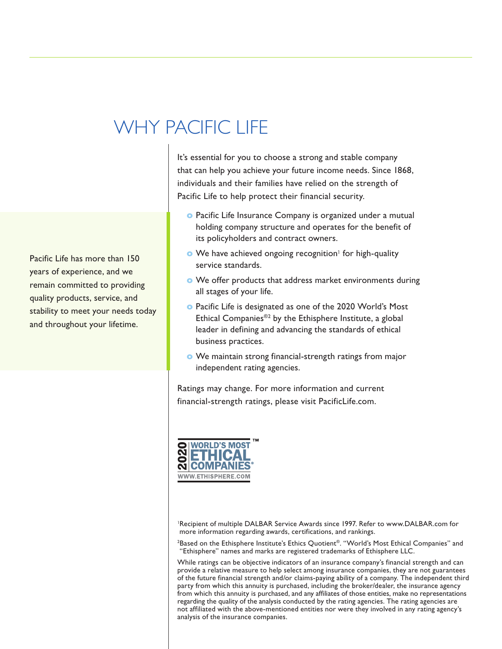## WHY PACIFIC LIFE

It's essential for you to choose a strong and stable company that can help you achieve your future income needs. Since 1868, individuals and their families have relied on the strength of Pacific Life to help protect their financial security.

- **o** Pacific Life Insurance Company is organized under a mutual holding company structure and operates for the benefit of its policyholders and contract owners.
- **o** We have achieved ongoing recognition<sup>1</sup> for high-quality service standards.
- **o** We offer products that address market environments during all stages of your life.
- **o** Pacific Life is designated as one of the 2020 World's Most Ethical Companies®2 by the Ethisphere Institute, a global leader in defining and advancing the standards of ethical business practices.
- **o** We maintain strong financial-strength ratings from major independent rating agencies.

Ratings may change. For more information and current financial-strength ratings, please visit PacificLife.com.



<sup>1</sup>Recipient of multiple DALBAR Service Awards since 1997. Refer to www.DALBAR.com for more information regarding awards, certifications, and rankings.

2 Based on the Ethisphere Institute's Ethics Quotient®. "World's Most Ethical Companies" and "Ethisphere" names and marks are registered trademarks of Ethisphere LLC.

While ratings can be objective indicators of an insurance company's financial strength and can provide a relative measure to help select among insurance companies, they are not guarantees of the future financial strength and/or claims-paying ability of a company. The independent third party from which this annuity is purchased, including the broker/dealer, the insurance agency from which this annuity is purchased, and any affiliates of those entities, make no representations regarding the quality of the analysis conducted by the rating agencies. The rating agencies are not affiliated with the above-mentioned entities nor were they involved in any rating agency's analysis of the insurance companies.

Pacific Life has more than 150 years of experience, and we remain committed to providing quality products, service, and stability to meet your needs today and throughout your lifetime.